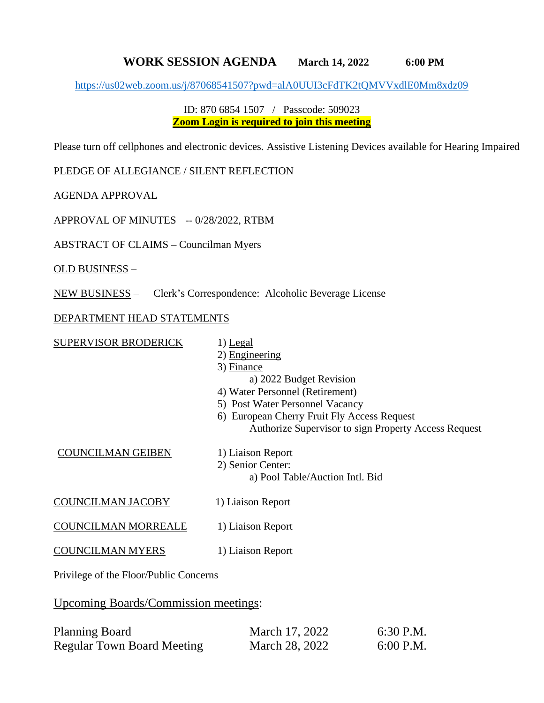## **WORK SESSION AGENDA March 14, 2022 6:00 PM**

<https://us02web.zoom.us/j/87068541507?pwd=alA0UUI3cFdTK2tQMVVxdlE0Mm8xdz09>

## ID: 870 6854 1507 / Passcode: 509023 **Zoom Login is required to join this meeting**

Please turn off cellphones and electronic devices. Assistive Listening Devices available for Hearing Impaired

PLEDGE OF ALLEGIANCE / SILENT REFLECTION

AGENDA APPROVAL

APPROVAL OF MINUTES -- 0/28/2022, RTBM

ABSTRACT OF CLAIMS – Councilman Myers

OLD BUSINESS –

NEW BUSINESS – Clerk's Correspondence: Alcoholic Beverage License

## DEPARTMENT HEAD STATEMENTS

| SUPERVISOR BRODERICK     | 1) Legal<br>2) Engineering<br>3) Finance<br>a) 2022 Budget Revision<br>4) Water Personnel (Retirement)<br>5) Post Water Personnel Vacancy<br>6) European Cherry Fruit Fly Access Request<br>Authorize Supervisor to sign Property Access Request |
|--------------------------|--------------------------------------------------------------------------------------------------------------------------------------------------------------------------------------------------------------------------------------------------|
| <b>COUNCILMAN GEIBEN</b> | 1) Liaison Report<br>2) Senior Center:<br>a) Pool Table/Auction Intl. Bid                                                                                                                                                                        |
| COUNCILMAN JACOBY        | 1) Liaison Report                                                                                                                                                                                                                                |
| COUNCILMAN MORREALE      | 1) Liaison Report                                                                                                                                                                                                                                |
| COUNCILMAN MYERS         | 1) Liaison Report                                                                                                                                                                                                                                |
|                          |                                                                                                                                                                                                                                                  |

Privilege of the Floor/Public Concerns

Upcoming Boards/Commission meetings:

| <b>Planning Board</b>             | March 17, 2022 | 6:30 P.M.   |
|-----------------------------------|----------------|-------------|
| <b>Regular Town Board Meeting</b> | March 28, 2022 | $6:00$ P.M. |